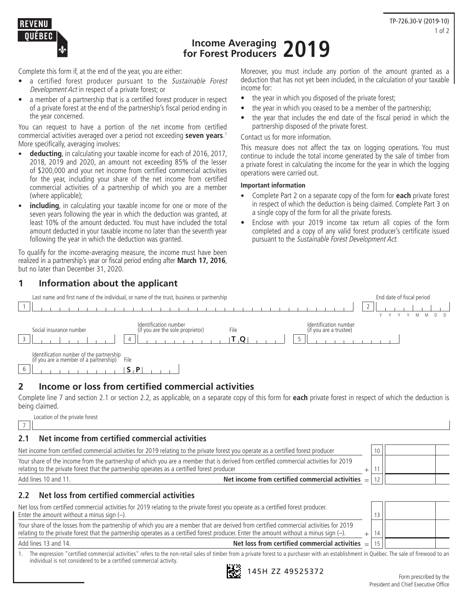



**Income Averaging for Forest Producers 2019**

Complete this form if, at the end of the year, you are either:

- a certified forest producer pursuant to the Sustainable Forest Development Act in respect of a private forest; or
- a member of a partnership that is a certified forest producer in respect of a private forest at the end of the partnership's fiscal period ending in the year concerned.

You can request to have a portion of the net income from certified commercial activities averaged over a period not exceeding **seven years**. 1 More specifically, averaging involves:

- **deducting**, in calculating your taxable income for each of 2016, 2017, 2018, 2019 and 2020, an amount not exceeding 85% of the lesser of \$200,000 and your net income from certified commercial activities for the year, including your share of the net income from certified commercial activities of a partnership of which you are a member (where applicable);
- **including**, in calculating your taxable income for one or more of the seven years following the year in which the deduction was granted, at least 10% of the amount deducted. You must have included the total amount deducted in your taxable income no later than the seventh year following the year in which the deduction was granted.

To qualify for the income-averaging measure, the income must have been realized in a partnership's year or fiscal period ending after **March 17, 2016**, but no later than December 31, 2020.

### **1 Information about the applicant**

Moreover, you must include any portion of the amount granted as a deduction that has not yet been included, in the calculation of your taxable income for:

- the year in which you disposed of the private forest;
- the year in which you ceased to be a member of the partnership;
- the year that includes the end date of the fiscal period in which the partnership disposed of the private forest.

#### Contact us for more information.

This measure does not affect the tax on logging operations. You must continue to include the total income generated by the sale of timber from a private forest in calculating the income for the year in which the logging operations were carried out.

#### **Important information**

- Complete Part 2 on a separate copy of the form for **each** private forest in respect of which the deduction is being claimed. Complete Part 3 on a single copy of the form for all the private forests.
- Enclose with your 2019 income tax return all copies of the form completed and a copy of any valid forest producer's certificate issued pursuant to the Sustainable Forest Development Act.

|                                                                                    | Last name and first name of the individual, or name of the trust, business or partnership |      |                                                 | End date of fiscal period |
|------------------------------------------------------------------------------------|-------------------------------------------------------------------------------------------|------|-------------------------------------------------|---------------------------|
| Social insurance number                                                            | Identification number<br>(if you are the sole proprietor)                                 | File | Identification number<br>(if you are a trustee) |                           |
| Identification number of the partnership<br>(if you are a member of a partnership) | File<br>$\mathbf{5}$                                                                      |      |                                                 |                           |

### **2 Income or loss from certified commercial activities**

Complete line 7 and section 2.1 or section 2.2, as applicable, on a separate copy of this form for **each** private forest in respect of which the deduction is being claimed.

|  |  | Location of the private forest |  |  |  |
|--|--|--------------------------------|--|--|--|
|--|--|--------------------------------|--|--|--|

 $\vert$  7  $\vert$ **2.1 Net income from certified commercial activities** Net income from certified commercial activities for 2019 relating to the private forest you operate as a certified forest producer 10 Your share of the income from the partnership of which you are a member that is derived from certified commercial activities for 2019 relating to the private forest that the partnership operates as a certified forest producer  $+$  11 Add lines 10 and 11. **Net income from certified commercial activities 2.2 Net loss from certified commercial activities** Net loss from certified commercial activities for 2019 relating to the private forest you operate as a certified forest producer.<br>Enter the amount without a minus sign (-)

| Enter the amount without a minus sign $(-)$ .                                                                                              |    |  |
|--------------------------------------------------------------------------------------------------------------------------------------------|----|--|
| Your share of the losses from the partnership of which you are a member that are derived from certified commercial activities for 2019     |    |  |
| relating to the private forest that the partnership operates as a certified forest producer. Enter the amount without a minus sign $(-)$ . | 14 |  |
| Net loss from certified commercial activities $=$   15    <br>Add lines 13 and 14.                                                         |    |  |
|                                                                                                                                            |    |  |

1. The expression "certified commercial activities" refers to the non-retail sales of timber from a private forest to a purchaser with an establishment in Québec. The sale of firewood to an individual is not considered to be a certified commercial activity.